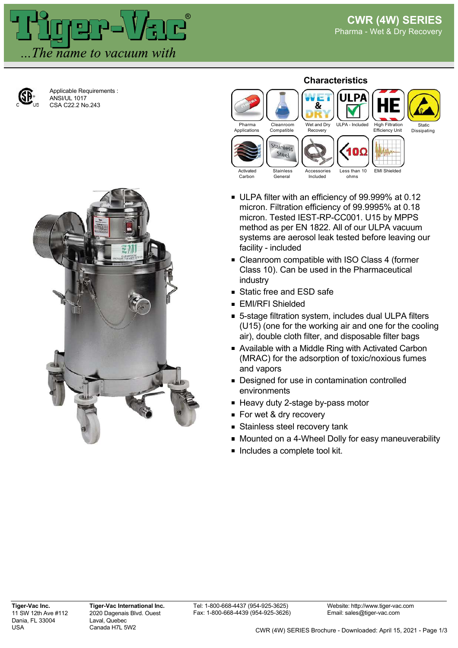

Applicable Requirements : ANSI/UL 1017 CSA C22.2 No.243



## **Characteristics**



- ULPA filter with an efficiency of 99.999% at 0.12 micron. Filtration efficiency of 99.9995% at 0.18 micron. Tested IEST-RP-CC001. U15 by MPPS method as per EN 1822. All of our ULPA vacuum systems are aerosol leak tested before leaving our facility - included
- **Example 2** Cleanroom compatible with ISO Class 4 (former Class 10). Can be used in the Pharmaceutical industry
- Static free and ESD safe
- **EMI/RFI Shielded**
- 5-stage filtration system, includes dual ULPA filters (U15) (one for the working air and one for the cooling air), double cloth filter, and disposable filter bags
- Available with a Middle Ring with Activated Carbon (MRAC) for the adsorption of toxic/noxious fumes and vapors
- Designed for use in contamination controlled environments
- Heavy duty 2-stage by-pass motor
- For wet & dry recovery
- **Stainless steel recovery tank**
- **Mounted on a 4-Wheel Dolly for easy maneuverability**
- $\blacksquare$  Includes a complete tool kit.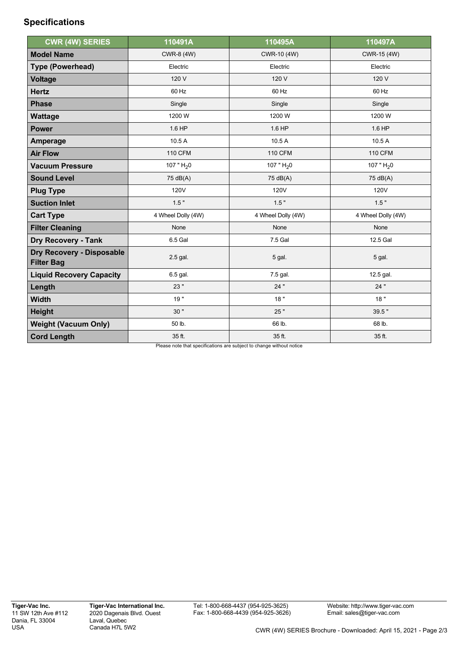## **Specifications**

| <b>CWR (4W) SERIES</b>                         | 110491A            | 110495A            | 110497A            |
|------------------------------------------------|--------------------|--------------------|--------------------|
| <b>Model Name</b>                              | CWR-8 (4W)         | CWR-10 (4W)        | CWR-15 (4W)        |
| <b>Type (Powerhead)</b>                        | Electric           | Electric           | Electric           |
| <b>Voltage</b>                                 | 120 V              | 120 V              | 120 V              |
| <b>Hertz</b>                                   | 60 Hz              | 60 Hz              | 60 Hz              |
| <b>Phase</b>                                   | Single             | Single             | Single             |
| <b>Wattage</b>                                 | 1200 W             | 1200 W             | 1200 W             |
| <b>Power</b>                                   | 1.6 HP             | 1.6 HP             | 1.6 HP             |
| Amperage                                       | 10.5 A             | 10.5A              | 10.5 A             |
| <b>Air Flow</b>                                | <b>110 CFM</b>     | <b>110 CFM</b>     | <b>110 CFM</b>     |
| <b>Vacuum Pressure</b>                         | 107 " $H_2$ 0      | 107 " $H20$        | 107 " $H_2$ 0      |
| <b>Sound Level</b>                             | 75 dB(A)           | 75 dB(A)           | 75 dB(A)           |
| <b>Plug Type</b>                               | <b>120V</b>        | <b>120V</b>        | <b>120V</b>        |
| <b>Suction Inlet</b>                           | 1.5"               | 1.5"               | 1.5"               |
| <b>Cart Type</b>                               | 4 Wheel Dolly (4W) | 4 Wheel Dolly (4W) | 4 Wheel Dolly (4W) |
| <b>Filter Cleaning</b>                         | None               | None               | None               |
| <b>Dry Recovery - Tank</b>                     | 6.5 Gal            | 7.5 Gal            | 12.5 Gal           |
| Dry Recovery - Disposable<br><b>Filter Bag</b> | 2.5 gal.           | 5 gal.             | 5 gal.             |
| <b>Liquid Recovery Capacity</b>                | 6.5 gal.           | 7.5 gal.           | 12.5 gal.          |
| Length                                         | 23"                | 24"                | 24"                |
| <b>Width</b>                                   | 19"                | 18"                | 18"                |
| <b>Height</b>                                  | 30"                | 25"                | 39.5"              |
| <b>Weight (Vacuum Only)</b>                    | 50 lb.             | 66 lb.             | 68 lb.             |
| <b>Cord Length</b>                             | 35 ft.             | 35 ft.             | 35 ft.             |

Please note that specifications are subject to change without notice